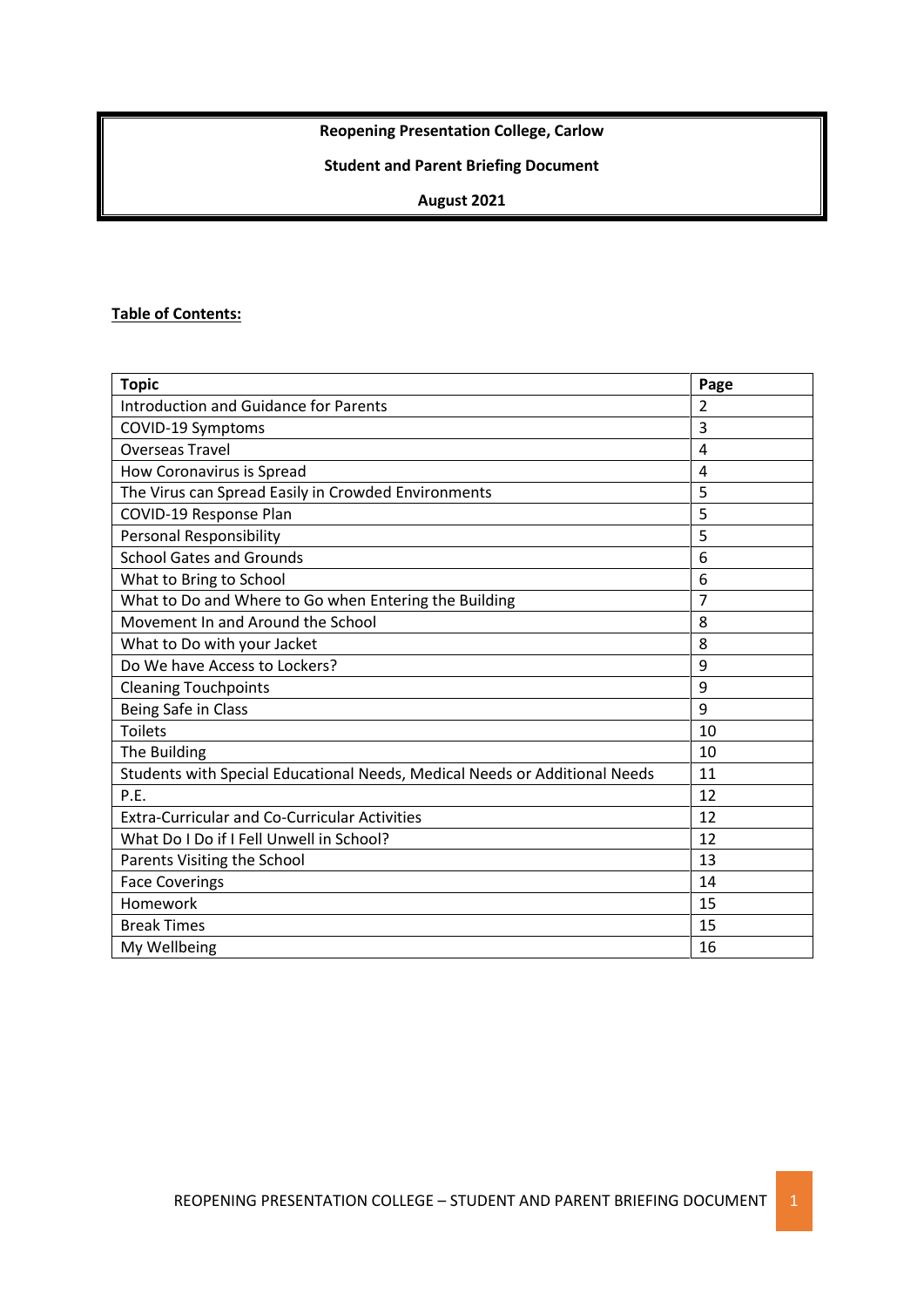## **Reopening Presentation College, Carlow**

# **Student and Parent Briefing Document**

### **August 2021**

#### **Table of Contents:**

| <b>Topic</b>                                                               | Page           |
|----------------------------------------------------------------------------|----------------|
| <b>Introduction and Guidance for Parents</b>                               | $\overline{2}$ |
| COVID-19 Symptoms                                                          | 3              |
| <b>Overseas Travel</b>                                                     | 4              |
| How Coronavirus is Spread                                                  | 4              |
| The Virus can Spread Easily in Crowded Environments                        | 5              |
| COVID-19 Response Plan                                                     | 5              |
| <b>Personal Responsibility</b>                                             | 5              |
| <b>School Gates and Grounds</b>                                            | 6              |
| What to Bring to School                                                    | 6              |
| What to Do and Where to Go when Entering the Building                      | 7              |
| Movement In and Around the School                                          | 8              |
| What to Do with your Jacket                                                | 8              |
| Do We have Access to Lockers?                                              | 9              |
| <b>Cleaning Touchpoints</b>                                                | 9              |
| Being Safe in Class                                                        | 9              |
| <b>Toilets</b>                                                             | 10             |
| The Building                                                               | 10             |
| Students with Special Educational Needs, Medical Needs or Additional Needs | 11             |
| P.E.                                                                       | 12             |
| <b>Extra-Curricular and Co-Curricular Activities</b>                       | 12             |
| What Do I Do if I Fell Unwell in School?                                   | 12             |
| Parents Visiting the School                                                | 13             |
| <b>Face Coverings</b>                                                      | 14             |
| Homework                                                                   | 15             |
| <b>Break Times</b>                                                         | 15             |
| My Wellbeing                                                               | 16             |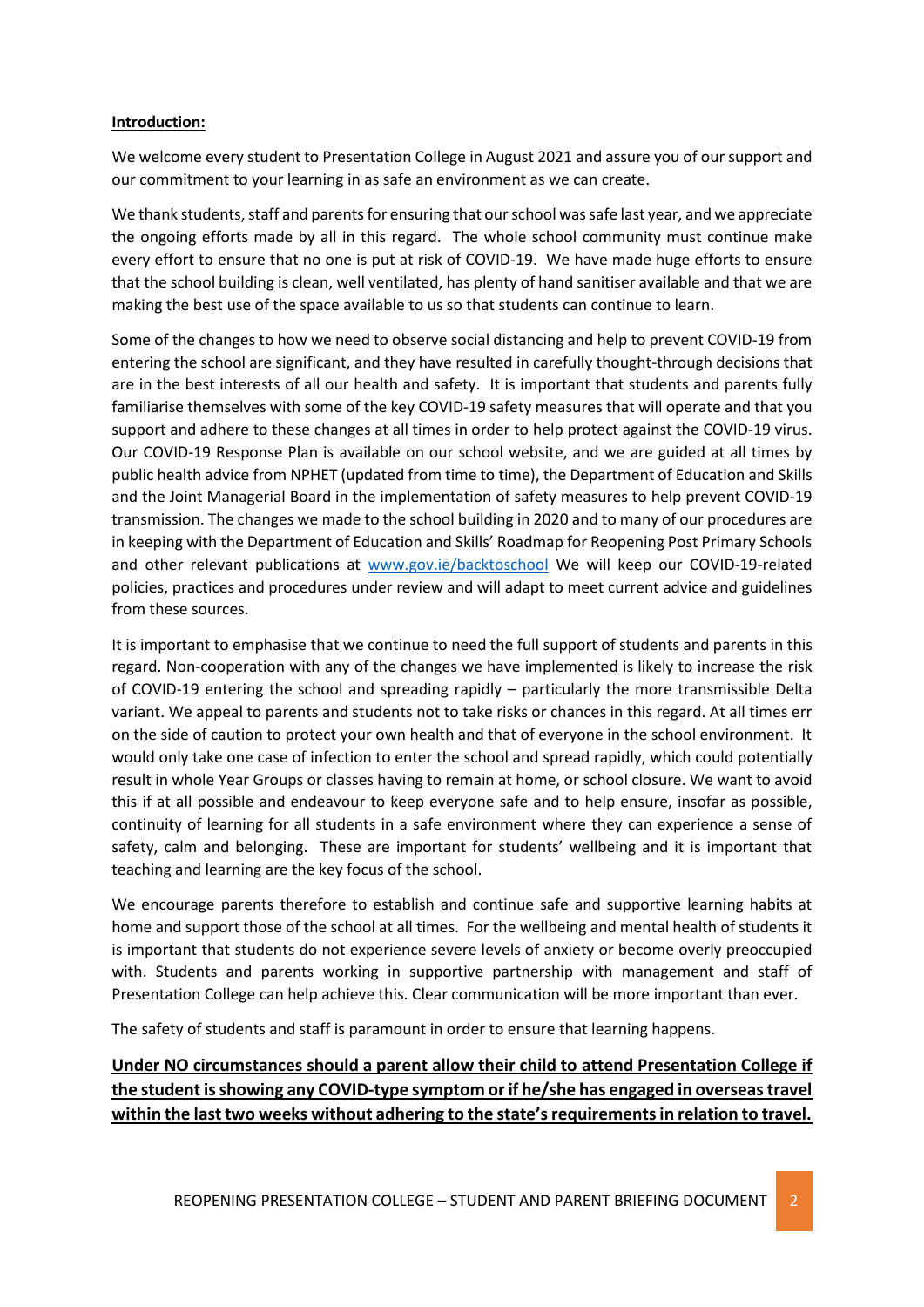#### **Introduction:**

We welcome every student to Presentation College in August 2021 and assure you of our support and our commitment to your learning in as safe an environment as we can create.

We thank students, staff and parents for ensuring that our school was safe last year, and we appreciate the ongoing efforts made by all in this regard. The whole school community must continue make every effort to ensure that no one is put at risk of COVID-19. We have made huge efforts to ensure that the school building is clean, well ventilated, has plenty of hand sanitiser available and that we are making the best use of the space available to us so that students can continue to learn.

Some of the changes to how we need to observe social distancing and help to prevent COVID-19 from entering the school are significant, and they have resulted in carefully thought-through decisions that are in the best interests of all our health and safety. It is important that students and parents fully familiarise themselves with some of the key COVID-19 safety measures that will operate and that you support and adhere to these changes at all times in order to help protect against the COVID-19 virus. Our COVID-19 Response Plan is available on our school website, and we are guided at all times by public health advice from NPHET (updated from time to time), the Department of Education and Skills and the Joint Managerial Board in the implementation of safety measures to help prevent COVID-19 transmission. The changes we made to the school building in 2020 and to many of our procedures are in keeping with the Department of Education and Skills' Roadmap for Reopening Post Primary Schools and other relevant publications at [www.gov.ie/backtoschool](http://www.gov.ie/backtoschool) We will keep our COVID-19-related policies, practices and procedures under review and will adapt to meet current advice and guidelines from these sources.

It is important to emphasise that we continue to need the full support of students and parents in this regard. Non-cooperation with any of the changes we have implemented is likely to increase the risk of COVID-19 entering the school and spreading rapidly – particularly the more transmissible Delta variant. We appeal to parents and students not to take risks or chances in this regard. At all times err on the side of caution to protect your own health and that of everyone in the school environment. It would only take one case of infection to enter the school and spread rapidly, which could potentially result in whole Year Groups or classes having to remain at home, or school closure. We want to avoid this if at all possible and endeavour to keep everyone safe and to help ensure, insofar as possible, continuity of learning for all students in a safe environment where they can experience a sense of safety, calm and belonging. These are important for students' wellbeing and it is important that teaching and learning are the key focus of the school.

We encourage parents therefore to establish and continue safe and supportive learning habits at home and support those of the school at all times. For the wellbeing and mental health of students it is important that students do not experience severe levels of anxiety or become overly preoccupied with. Students and parents working in supportive partnership with management and staff of Presentation College can help achieve this. Clear communication will be more important than ever.

The safety of students and staff is paramount in order to ensure that learning happens.

## **Under NO circumstances should a parent allow their child to attend Presentation College if the student is showing any COVID-type symptom or if he/she has engaged in overseas travel within the last two weeks without adhering to the state's requirements in relation to travel.**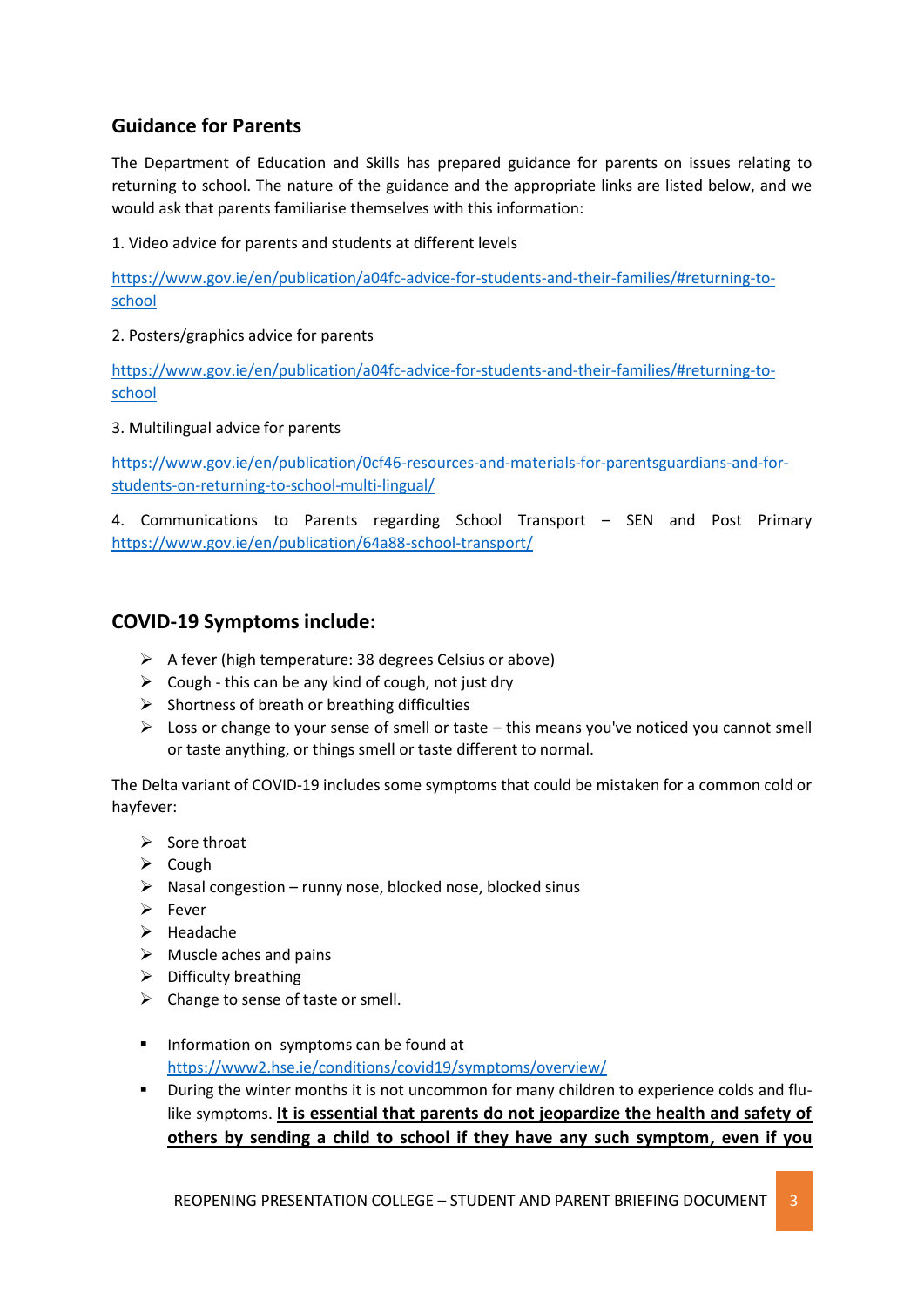## **Guidance for Parents**

The Department of Education and Skills has prepared guidance for parents on issues relating to returning to school. The nature of the guidance and the appropriate links are listed below, and we would ask that parents familiarise themselves with this information:

1. Video advice for parents and students at different levels

[https://www.gov.ie/en/publication/a04fc-advice-for-students-and-their-families/#returning-to](https://www.gov.ie/en/publication/a04fc-advice-for-students-and-their-families/#returning-to-school)[school](https://www.gov.ie/en/publication/a04fc-advice-for-students-and-their-families/#returning-to-school)

2. Posters/graphics advice for parents

[https://www.gov.ie/en/publication/a04fc-advice-for-students-and-their-families/#returning-to](https://www.gov.ie/en/publication/a04fc-advice-for-students-and-their-families/#returning-to-school)[school](https://www.gov.ie/en/publication/a04fc-advice-for-students-and-their-families/#returning-to-school)

3. Multilingual advice for parents

[https://www.gov.ie/en/publication/0cf46-resources-and-materials-for-parentsguardians-and-for](https://www.gov.ie/en/publication/0cf46-resources-and-materials-for-parentsguardians-and-for-students-on-returning-to-school-multi-lingual/)[students-on-returning-to-school-multi-lingual/](https://www.gov.ie/en/publication/0cf46-resources-and-materials-for-parentsguardians-and-for-students-on-returning-to-school-multi-lingual/)

4. Communications to Parents regarding School Transport – SEN and Post Primary <https://www.gov.ie/en/publication/64a88-school-transport/>

## **COVID-19 Symptoms include:**

- $\triangleright$  A fever (high temperature: 38 degrees Celsius or above)
- $\triangleright$  Cough this can be any kind of cough, not just dry
- $\triangleright$  Shortness of breath or breathing difficulties
- $\triangleright$  Loss or change to your sense of smell or taste this means you've noticed you cannot smell or taste anything, or things smell or taste different to normal.

The Delta variant of COVID-19 includes some symptoms that could be mistaken for a common cold or hayfever:

- $\triangleright$  Sore throat
- $\triangleright$  Cough
- $\triangleright$  Nasal congestion runny nose, blocked nose, blocked sinus
- $\triangleright$  Fever
- $\triangleright$  Headache
- $\triangleright$  Muscle aches and pains
- $\triangleright$  Difficulty breathing
- $\triangleright$  Change to sense of taste or smell.
- **Information on symptoms can be found at** <https://www2.hse.ie/conditions/covid19/symptoms/overview/>
- During the winter months it is not uncommon for many children to experience colds and flulike symptoms. **It is essential that parents do not jeopardize the health and safety of others by sending a child to school if they have any such symptom, even if you**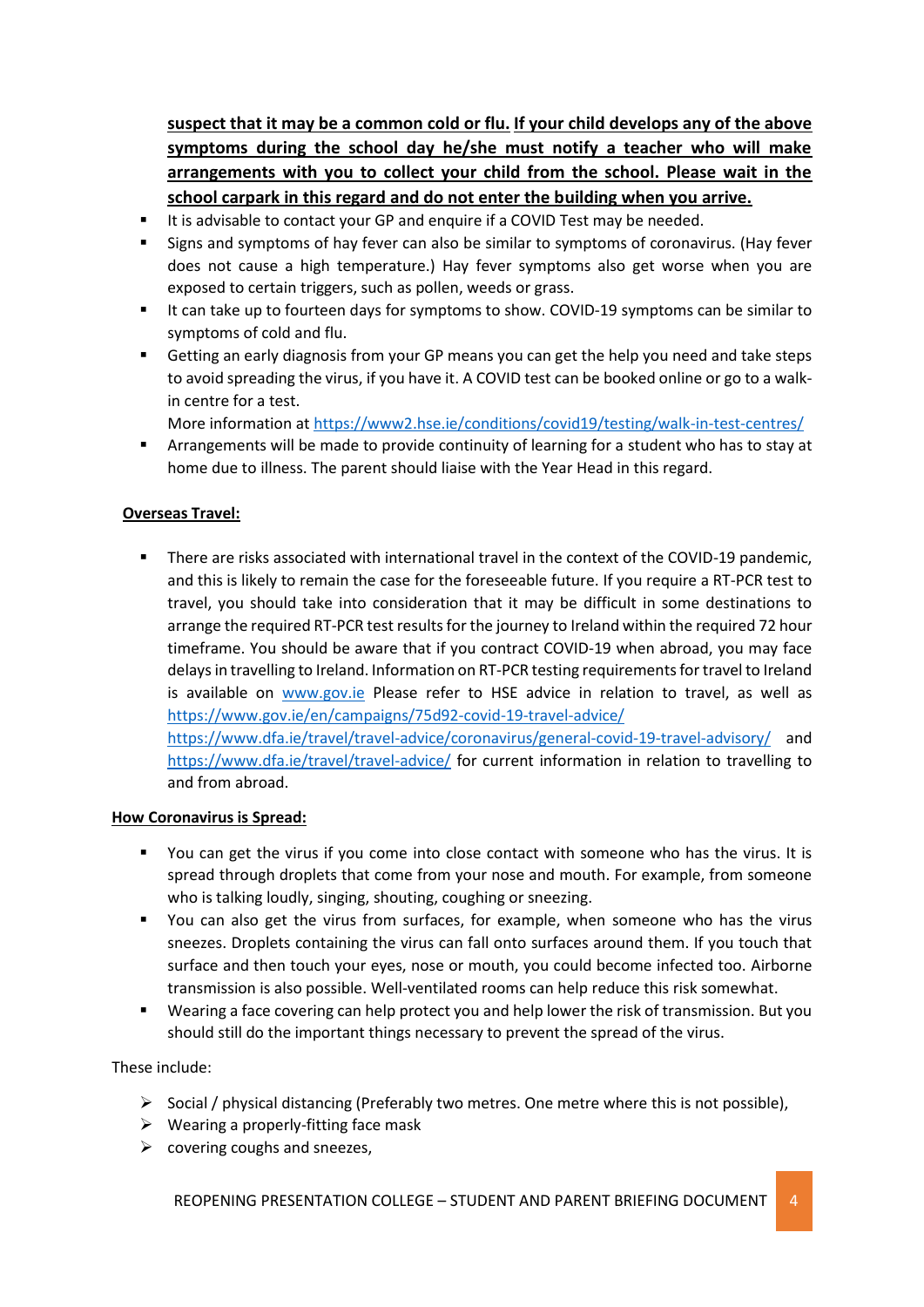**suspect that it may be a common cold or flu. If your child develops any of the above symptoms during the school day he/she must notify a teacher who will make arrangements with you to collect your child from the school. Please wait in the school carpark in this regard and do not enter the building when you arrive.**

- It is advisable to contact your GP and enquire if a COVID Test may be needed.
- Signs and symptoms of hay fever can also be similar to symptoms of coronavirus. (Hay fever does not cause a high temperature.) Hay fever symptoms also get worse when you are exposed to certain triggers, such as pollen, weeds or grass.
- If can take up to fourteen days for symptoms to show. COVID-19 symptoms can be similar to symptoms of cold and flu.
- Getting an early diagnosis from your GP means you can get the help you need and take steps to avoid spreading the virus, if you have it. A COVID test can be booked online or go to a walkin centre for a test.

More information at<https://www2.hse.ie/conditions/covid19/testing/walk-in-test-centres/>

 Arrangements will be made to provide continuity of learning for a student who has to stay at home due to illness. The parent should liaise with the Year Head in this regard.

### **Overseas Travel:**

**There are risks associated with international travel in the context of the COVID-19 pandemic,** and this is likely to remain the case for the foreseeable future. If you require a RT-PCR test to travel, you should take into consideration that it may be difficult in some destinations to arrange the required RT-PCR test results for the journey to Ireland within the required 72 hour timeframe. You should be aware that if you contract COVID-19 when abroad, you may face delays in travelling to Ireland. Information on RT-PCR testing requirements for travel to Ireland is available on [www.gov.ie](http://www.gov.ie/) Please refer to HSE advice in relation to travel, as well as <https://www.gov.ie/en/campaigns/75d92-covid-19-travel-advice/> <https://www.dfa.ie/travel/travel-advice/coronavirus/general-covid-19-travel-advisory/> and

<https://www.dfa.ie/travel/travel-advice/> for current information in relation to travelling to and from abroad.

#### **How Coronavirus is Spread:**

- You can get the virus if you come into close contact with someone who has the virus. It is spread through droplets that come from your nose and mouth. For example, from someone who is talking loudly, singing, shouting, coughing or sneezing.
- You can also get the virus from surfaces, for example, when someone who has the virus sneezes. Droplets containing the virus can fall onto surfaces around them. If you touch that surface and then touch your eyes, nose or mouth, you could become infected too. Airborne transmission is also possible. Well-ventilated rooms can help reduce this risk somewhat.
- Wearing a face covering can help protect you and help lower the risk of transmission. But you should still do the important things necessary to prevent the spread of the virus.

### These include:

- $\triangleright$  Social / physical distancing (Preferably two metres. One metre where this is not possible),
- $\triangleright$  Wearing a properly-fitting face mask
- $\triangleright$  covering coughs and sneezes,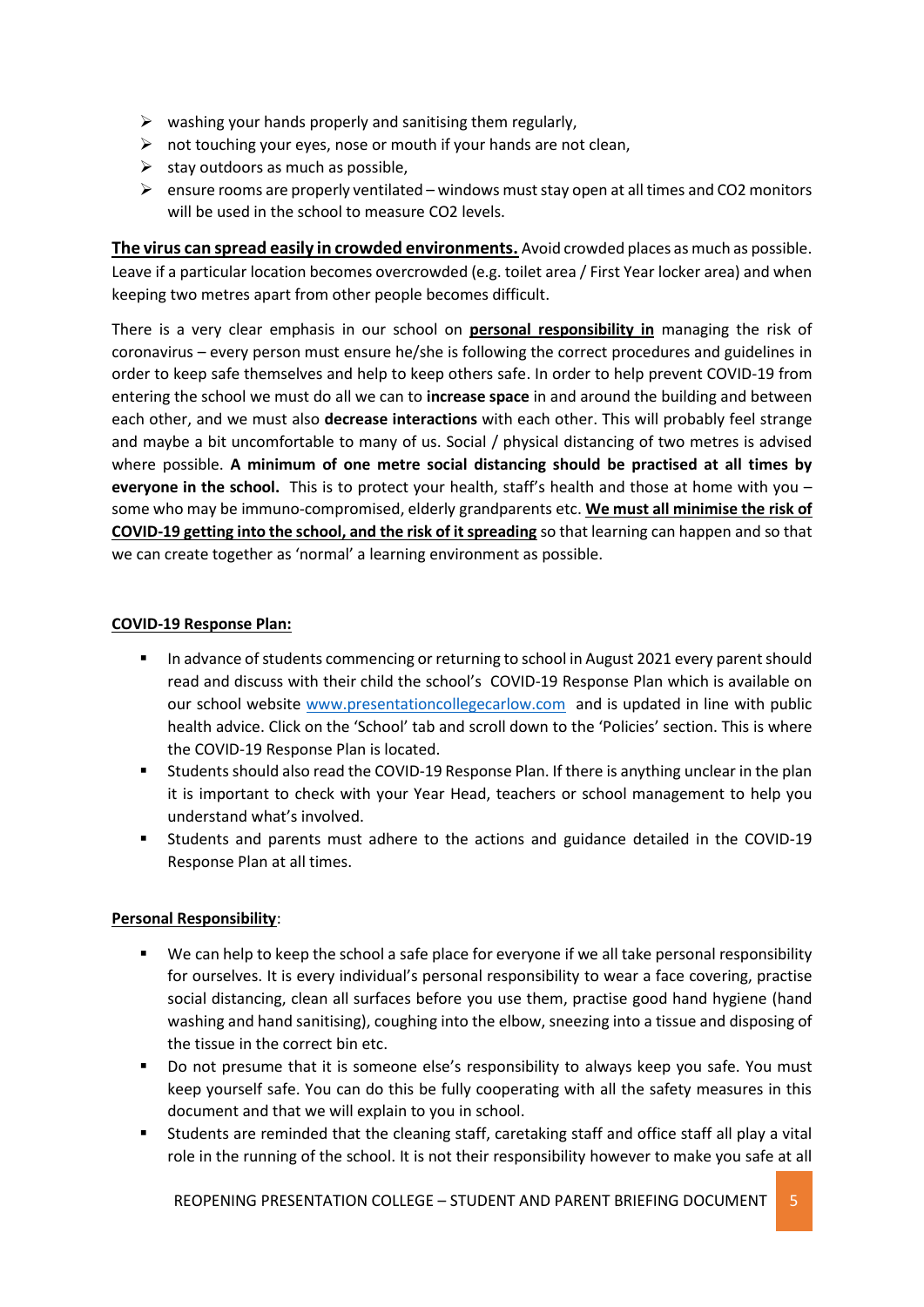- $\triangleright$  washing your hands properly and sanitising them regularly,
- $\triangleright$  not touching your eyes, nose or mouth if your hands are not clean,
- $\triangleright$  stay outdoors as much as possible,
- $\triangleright$  ensure rooms are properly ventilated windows must stay open at all times and CO2 monitors will be used in the school to measure CO2 levels.

**The virus can spread easily in crowded environments.** Avoid crowded places as much as possible. Leave if a particular location becomes overcrowded (e.g. toilet area / First Year locker area) and when keeping two metres apart from other people becomes difficult.

There is a very clear emphasis in our school on **personal responsibility in** managing the risk of coronavirus – every person must ensure he/she is following the correct procedures and guidelines in order to keep safe themselves and help to keep others safe. In order to help prevent COVID-19 from entering the school we must do all we can to **increase space** in and around the building and between each other, and we must also **decrease interactions** with each other. This will probably feel strange and maybe a bit uncomfortable to many of us. Social / physical distancing of two metres is advised where possible. **A minimum of one metre social distancing should be practised at all times by everyone in the school.** This is to protect your health, staff's health and those at home with you – some who may be immuno-compromised, elderly grandparents etc. **We must all minimise the risk of COVID-19 getting into the school, and the risk of it spreading** so that learning can happen and so that we can create together as 'normal' a learning environment as possible.

#### **COVID-19 Response Plan:**

- In advance of students commencing or returning to school in August 2021 every parent should read and discuss with their child the school's COVID-19 Response Plan which is available on our school website [www.presentationcollegecarlow.com](http://www.presentationcollegecarlow.com/) and is updated in line with public health advice. Click on the 'School' tab and scroll down to the 'Policies' section. This is where the COVID-19 Response Plan is located.
- Students should also read the COVID-19 Response Plan. If there is anything unclear in the plan it is important to check with your Year Head, teachers or school management to help you understand what's involved.
- Students and parents must adhere to the actions and guidance detailed in the COVID-19 Response Plan at all times.

#### **Personal Responsibility**:

- We can help to keep the school a safe place for everyone if we all take personal responsibility for ourselves. It is every individual's personal responsibility to wear a face covering, practise social distancing, clean all surfaces before you use them, practise good hand hygiene (hand washing and hand sanitising), coughing into the elbow, sneezing into a tissue and disposing of the tissue in the correct bin etc.
- Do not presume that it is someone else's responsibility to always keep you safe. You must keep yourself safe. You can do this be fully cooperating with all the safety measures in this document and that we will explain to you in school.
- Students are reminded that the cleaning staff, caretaking staff and office staff all play a vital role in the running of the school. It is not their responsibility however to make you safe at all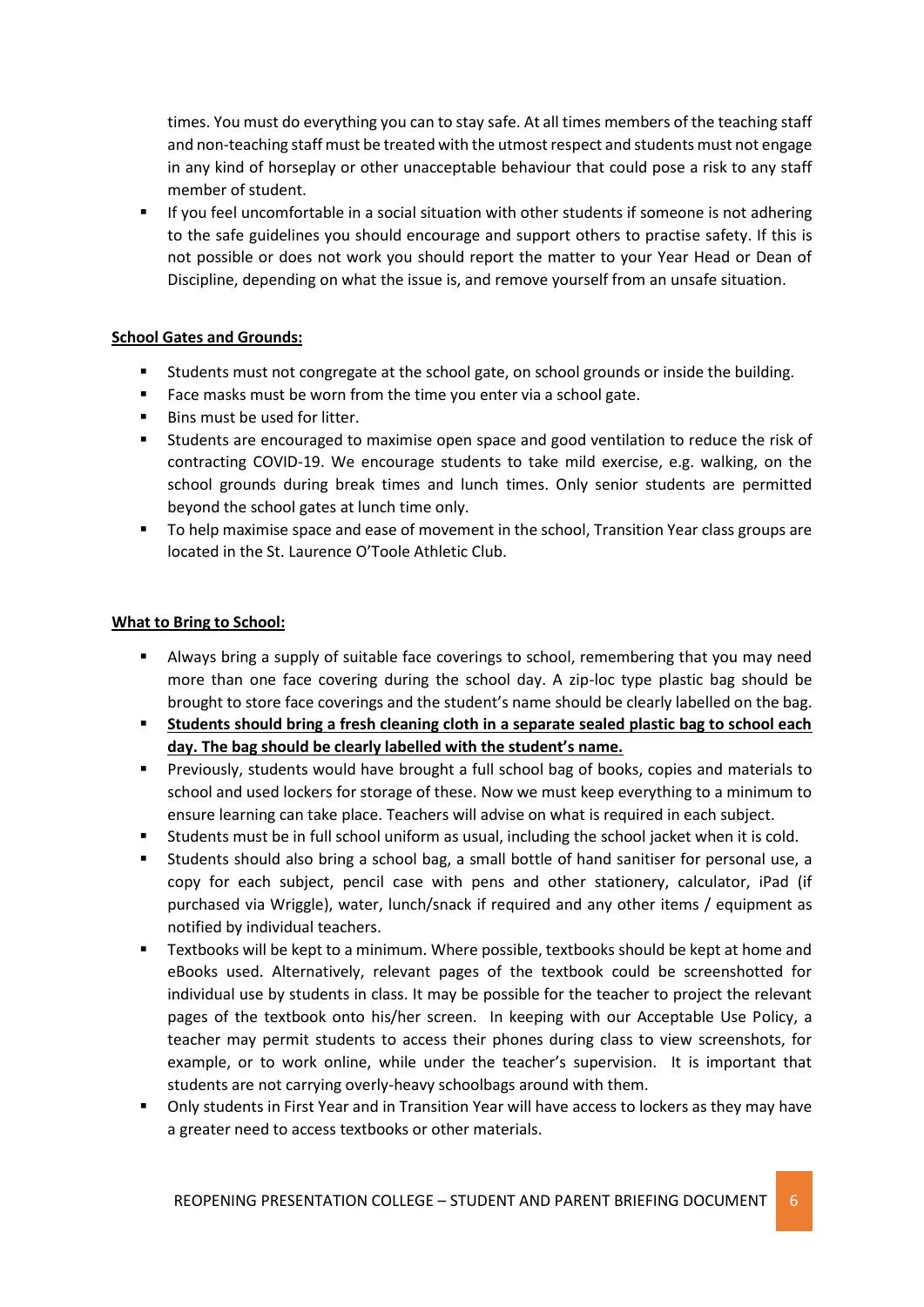times. You must do everything you can to stay safe. At all times members of the teaching staff and non-teaching staff must be treated with the utmost respect and students must not engage in any kind of horseplay or other unacceptable behaviour that could pose a risk to any staff member of student.

 If you feel uncomfortable in a social situation with other students if someone is not adhering to the safe guidelines you should encourage and support others to practise safety. If this is not possible or does not work you should report the matter to your Year Head or Dean of Discipline, depending on what the issue is, and remove yourself from an unsafe situation.

### **School Gates and Grounds:**

- Students must not congregate at the school gate, on school grounds or inside the building.
- Face masks must be worn from the time you enter via a school gate.
- Bins must be used for litter.
- Students are encouraged to maximise open space and good ventilation to reduce the risk of contracting COVID-19. We encourage students to take mild exercise, e.g. walking, on the school grounds during break times and lunch times. Only senior students are permitted beyond the school gates at lunch time only.
- To help maximise space and ease of movement in the school, Transition Year class groups are located in the St. Laurence O'Toole Athletic Club.

#### **What to Bring to School:**

- Always bring a supply of suitable face coverings to school, remembering that you may need more than one face covering during the school day. A zip-loc type plastic bag should be brought to store face coverings and the student's name should be clearly labelled on the bag.
- **Students should bring a fresh cleaning cloth in a separate sealed plastic bag to school each day. The bag should be clearly labelled with the student's name.**
- **Previously, students would have brought a full school bag of books, copies and materials to** school and used lockers for storage of these. Now we must keep everything to a minimum to ensure learning can take place. Teachers will advise on what is required in each subject.
- Students must be in full school uniform as usual, including the school jacket when it is cold.
- Students should also bring a school bag, a small bottle of hand sanitiser for personal use, a copy for each subject, pencil case with pens and other stationery, calculator, iPad (if purchased via Wriggle), water, lunch/snack if required and any other items / equipment as notified by individual teachers.
- Textbooks will be kept to a minimum. Where possible, textbooks should be kept at home and eBooks used. Alternatively, relevant pages of the textbook could be screenshotted for individual use by students in class. It may be possible for the teacher to project the relevant pages of the textbook onto his/her screen. In keeping with our Acceptable Use Policy, a teacher may permit students to access their phones during class to view screenshots, for example, or to work online, while under the teacher's supervision. It is important that students are not carrying overly-heavy schoolbags around with them.
- Only students in First Year and in Transition Year will have access to lockers as they may have a greater need to access textbooks or other materials.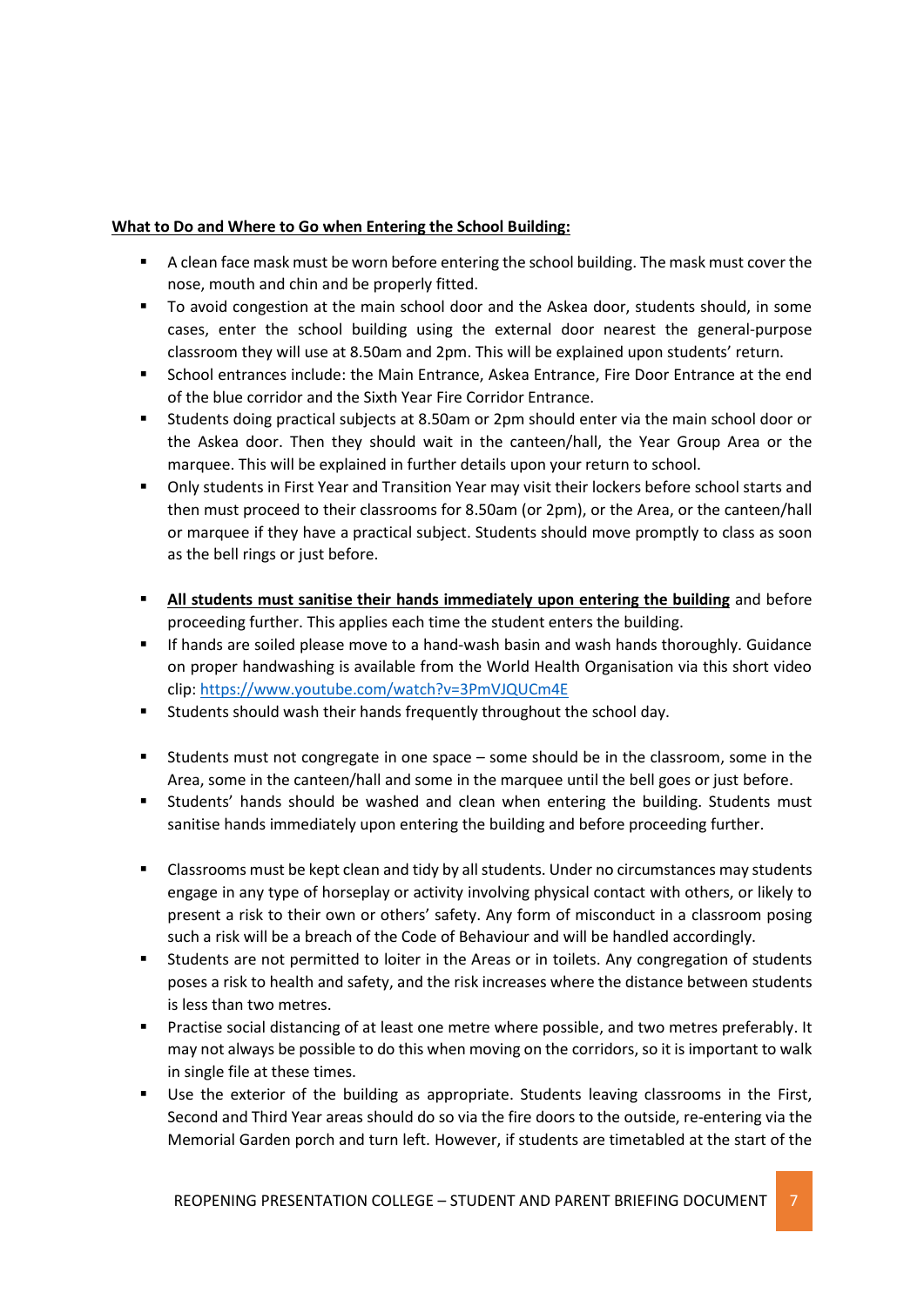### **What to Do and Where to Go when Entering the School Building:**

- A clean face mask must be worn before entering the school building. The mask must cover the nose, mouth and chin and be properly fitted.
- To avoid congestion at the main school door and the Askea door, students should, in some cases, enter the school building using the external door nearest the general-purpose classroom they will use at 8.50am and 2pm. This will be explained upon students' return.
- School entrances include: the Main Entrance, Askea Entrance, Fire Door Entrance at the end of the blue corridor and the Sixth Year Fire Corridor Entrance.
- Students doing practical subjects at 8.50am or 2pm should enter via the main school door or the Askea door. Then they should wait in the canteen/hall, the Year Group Area or the marquee. This will be explained in further details upon your return to school.
- Only students in First Year and Transition Year may visit their lockers before school starts and then must proceed to their classrooms for 8.50am (or 2pm), or the Area, or the canteen/hall or marquee if they have a practical subject. Students should move promptly to class as soon as the bell rings or just before.
- **All students must sanitise their hands immediately upon entering the building** and before proceeding further. This applies each time the student enters the building.
- If hands are soiled please move to a hand-wash basin and wash hands thoroughly. Guidance on proper handwashing is available from the World Health Organisation via this short video clip:<https://www.youtube.com/watch?v=3PmVJQUCm4E>
- Students should wash their hands frequently throughout the school day.
- Students must not congregate in one space some should be in the classroom, some in the Area, some in the canteen/hall and some in the marquee until the bell goes or just before.
- Students' hands should be washed and clean when entering the building. Students must sanitise hands immediately upon entering the building and before proceeding further.
- Classrooms must be kept clean and tidy by all students. Under no circumstances may students engage in any type of horseplay or activity involving physical contact with others, or likely to present a risk to their own or others' safety. Any form of misconduct in a classroom posing such a risk will be a breach of the Code of Behaviour and will be handled accordingly.
- Students are not permitted to loiter in the Areas or in toilets. Any congregation of students poses a risk to health and safety, and the risk increases where the distance between students is less than two metres.
- Practise social distancing of at least one metre where possible, and two metres preferably. It may not always be possible to do this when moving on the corridors, so it is important to walk in single file at these times.
- Use the exterior of the building as appropriate. Students leaving classrooms in the First, Second and Third Year areas should do so via the fire doors to the outside, re-entering via the Memorial Garden porch and turn left. However, if students are timetabled at the start of the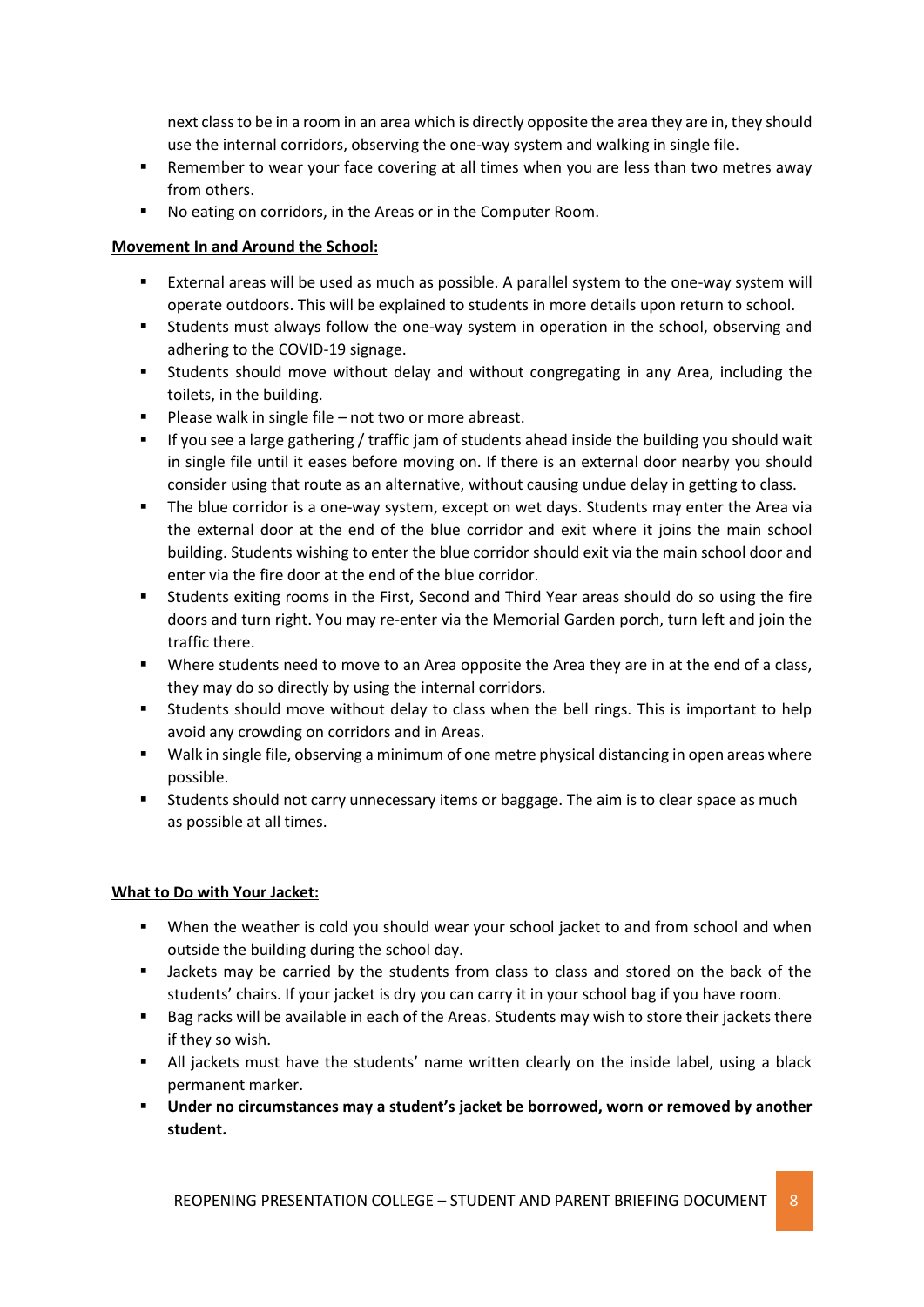next class to be in a room in an area which is directly opposite the area they are in, they should use the internal corridors, observing the one-way system and walking in single file.

- Remember to wear your face covering at all times when you are less than two metres away from others.
- No eating on corridors, in the Areas or in the Computer Room.

#### **Movement In and Around the School:**

- External areas will be used as much as possible. A parallel system to the one-way system will operate outdoors. This will be explained to students in more details upon return to school.
- Students must always follow the one-way system in operation in the school, observing and adhering to the COVID-19 signage.
- Students should move without delay and without congregating in any Area, including the toilets, in the building.
- Please walk in single file not two or more abreast.
- If you see a large gathering / traffic jam of students ahead inside the building you should wait in single file until it eases before moving on. If there is an external door nearby you should consider using that route as an alternative, without causing undue delay in getting to class.
- The blue corridor is a one-way system, except on wet days. Students may enter the Area via the external door at the end of the blue corridor and exit where it joins the main school building. Students wishing to enter the blue corridor should exit via the main school door and enter via the fire door at the end of the blue corridor.
- Students exiting rooms in the First, Second and Third Year areas should do so using the fire doors and turn right. You may re-enter via the Memorial Garden porch, turn left and join the traffic there.
- Where students need to move to an Area opposite the Area they are in at the end of a class, they may do so directly by using the internal corridors.
- Students should move without delay to class when the bell rings. This is important to help avoid any crowding on corridors and in Areas.
- Walk in single file, observing a minimum of one metre physical distancing in open areas where possible.
- Students should not carry unnecessary items or baggage. The aim is to clear space as much as possible at all times.

### **What to Do with Your Jacket:**

- When the weather is cold you should wear your school jacket to and from school and when outside the building during the school day.
- **Jackets may be carried by the students from class to class and stored on the back of the** students' chairs. If your jacket is dry you can carry it in your school bag if you have room.
- **Bag racks will be available in each of the Areas. Students may wish to store their jackets there** if they so wish.
- All jackets must have the students' name written clearly on the inside label, using a black permanent marker.
- **Under no circumstances may a student's jacket be borrowed, worn or removed by another student.**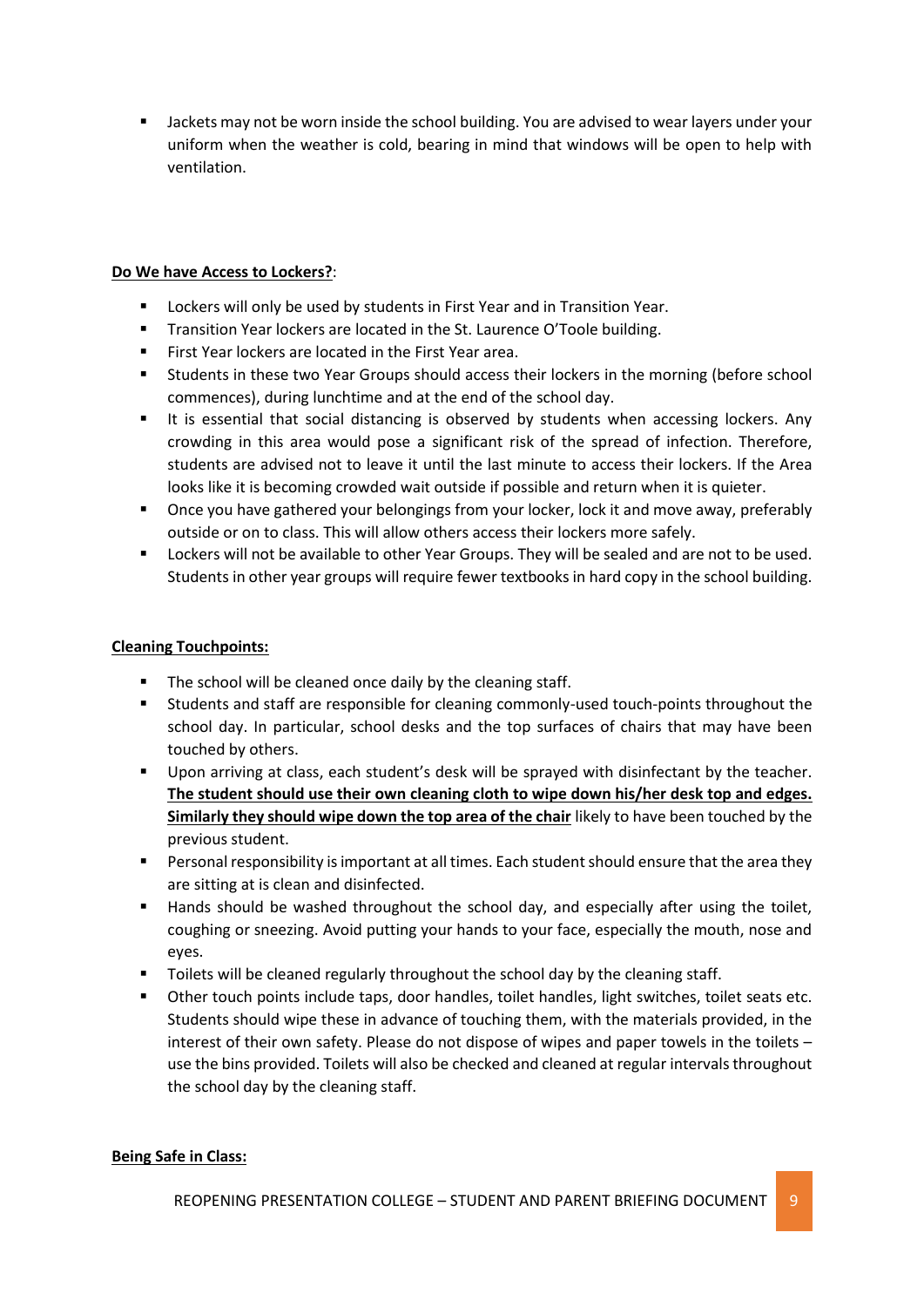Jackets may not be worn inside the school building. You are advised to wear layers under your uniform when the weather is cold, bearing in mind that windows will be open to help with ventilation.

### **Do We have Access to Lockers?**:

- **EXTERGHT Lockers will only be used by students in First Year and in Transition Year.**
- **Transition Year lockers are located in the St. Laurence O'Toole building.**
- First Year lockers are located in the First Year area.
- Students in these two Year Groups should access their lockers in the morning (before school commences), during lunchtime and at the end of the school day.
- It is essential that social distancing is observed by students when accessing lockers. Any crowding in this area would pose a significant risk of the spread of infection. Therefore, students are advised not to leave it until the last minute to access their lockers. If the Area looks like it is becoming crowded wait outside if possible and return when it is quieter.
- Once you have gathered your belongings from your locker, lock it and move away, preferably outside or on to class. This will allow others access their lockers more safely.
- Lockers will not be available to other Year Groups. They will be sealed and are not to be used. Students in other year groups will require fewer textbooks in hard copy in the school building.

### **Cleaning Touchpoints:**

- The school will be cleaned once daily by the cleaning staff.
- Students and staff are responsible for cleaning commonly-used touch-points throughout the school day. In particular, school desks and the top surfaces of chairs that may have been touched by others.
- **Upon arriving at class, each student's desk will be sprayed with disinfectant by the teacher. The student should use their own cleaning cloth to wipe down his/her desk top and edges. Similarly they should wipe down the top area of the chair** likely to have been touched by the previous student.
- **Personal responsibility is important at all times. Each student should ensure that the area they** are sitting at is clean and disinfected.
- Hands should be washed throughout the school day, and especially after using the toilet, coughing or sneezing. Avoid putting your hands to your face, especially the mouth, nose and eyes.
- Toilets will be cleaned regularly throughout the school day by the cleaning staff.
- Other touch points include taps, door handles, toilet handles, light switches, toilet seats etc. Students should wipe these in advance of touching them, with the materials provided, in the interest of their own safety. Please do not dispose of wipes and paper towels in the toilets – use the bins provided. Toilets will also be checked and cleaned at regular intervals throughout the school day by the cleaning staff.

### **Being Safe in Class:**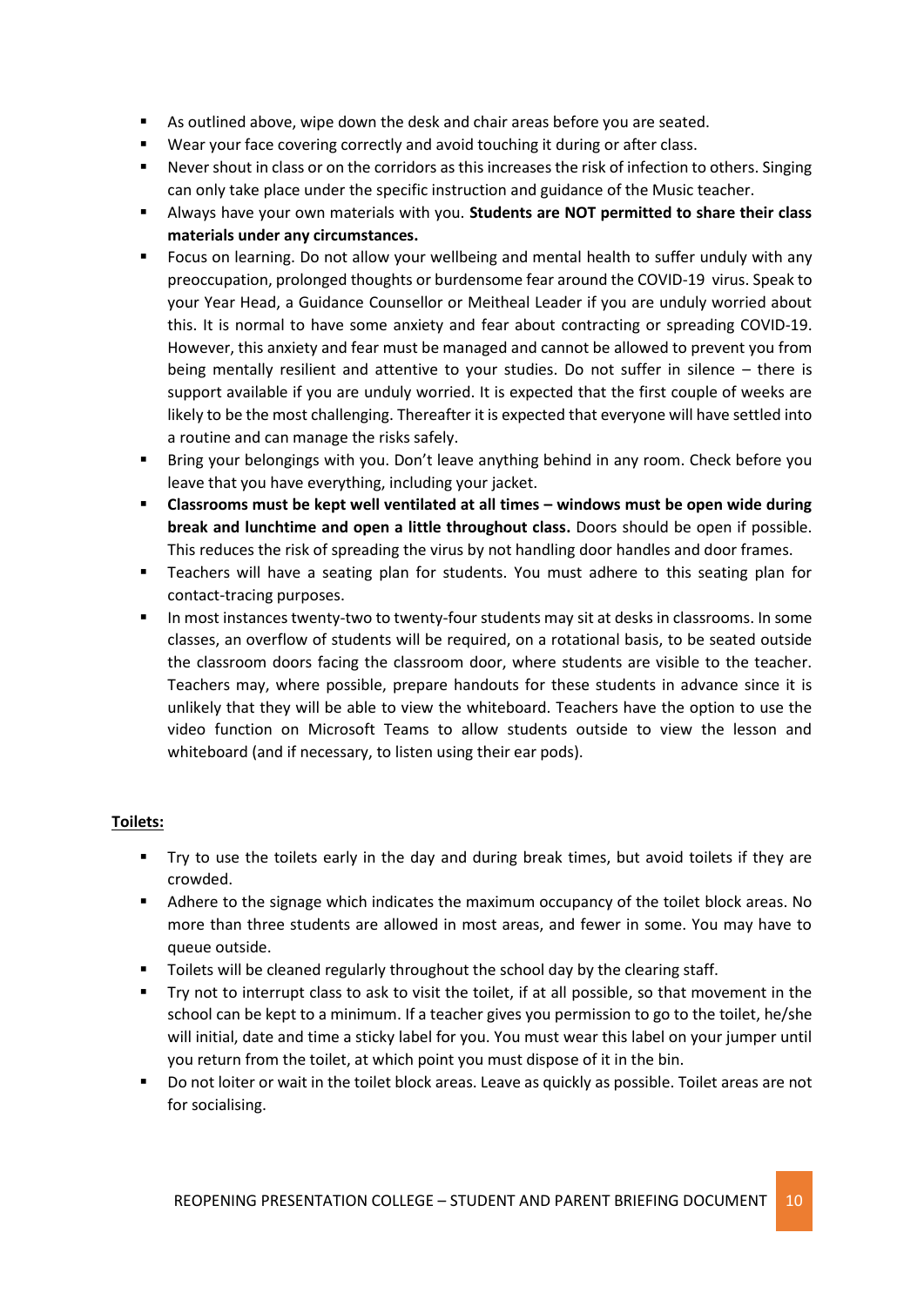- As outlined above, wipe down the desk and chair areas before you are seated.
- Wear your face covering correctly and avoid touching it during or after class.
- Never shout in class or on the corridors as this increases the risk of infection to others. Singing can only take place under the specific instruction and guidance of the Music teacher.
- Always have your own materials with you. **Students are NOT permitted to share their class materials under any circumstances.**
- Focus on learning. Do not allow your wellbeing and mental health to suffer unduly with any preoccupation, prolonged thoughts or burdensome fear around the COVID-19 virus. Speak to your Year Head, a Guidance Counsellor or Meitheal Leader if you are unduly worried about this. It is normal to have some anxiety and fear about contracting or spreading COVID-19. However, this anxiety and fear must be managed and cannot be allowed to prevent you from being mentally resilient and attentive to your studies. Do not suffer in silence – there is support available if you are unduly worried. It is expected that the first couple of weeks are likely to be the most challenging. Thereafter it is expected that everyone will have settled into a routine and can manage the risks safely.
- Bring your belongings with you. Don't leave anything behind in any room. Check before you leave that you have everything, including your jacket.
- **Classrooms must be kept well ventilated at all times – windows must be open wide during break and lunchtime and open a little throughout class.** Doors should be open if possible. This reduces the risk of spreading the virus by not handling door handles and door frames.
- Teachers will have a seating plan for students. You must adhere to this seating plan for contact-tracing purposes.
- In most instances twenty-two to twenty-four students may sit at desks in classrooms. In some classes, an overflow of students will be required, on a rotational basis, to be seated outside the classroom doors facing the classroom door, where students are visible to the teacher. Teachers may, where possible, prepare handouts for these students in advance since it is unlikely that they will be able to view the whiteboard. Teachers have the option to use the video function on Microsoft Teams to allow students outside to view the lesson and whiteboard (and if necessary, to listen using their ear pods).

### **Toilets:**

- Try to use the toilets early in the day and during break times, but avoid toilets if they are crowded.
- Adhere to the signage which indicates the maximum occupancy of the toilet block areas. No more than three students are allowed in most areas, and fewer in some. You may have to queue outside.
- Toilets will be cleaned regularly throughout the school day by the clearing staff.
- Try not to interrupt class to ask to visit the toilet, if at all possible, so that movement in the school can be kept to a minimum. If a teacher gives you permission to go to the toilet, he/she will initial, date and time a sticky label for you. You must wear this label on your jumper until you return from the toilet, at which point you must dispose of it in the bin.
- Do not loiter or wait in the toilet block areas. Leave as quickly as possible. Toilet areas are not for socialising.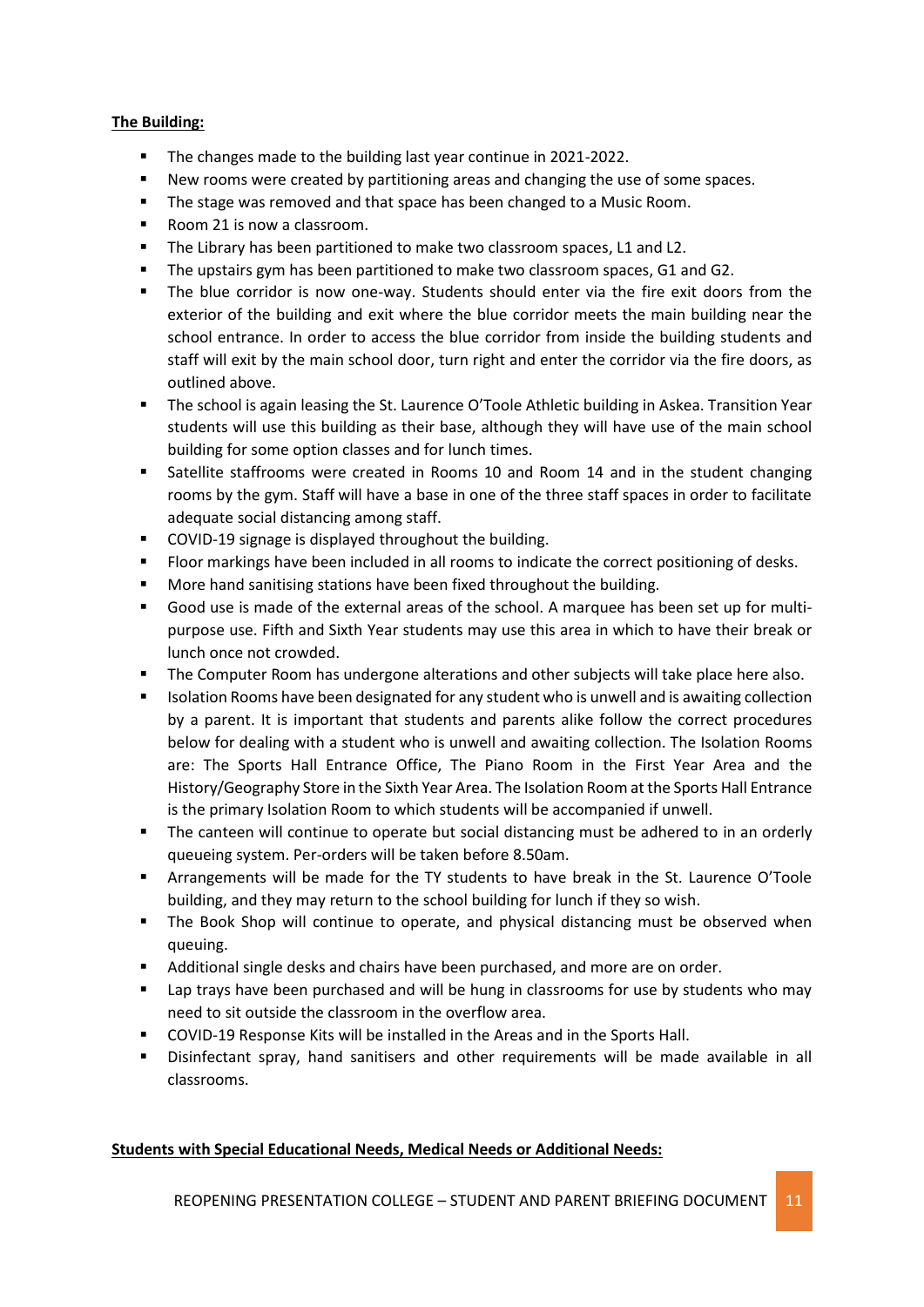#### **The Building:**

- The changes made to the building last year continue in 2021-2022.
- New rooms were created by partitioning areas and changing the use of some spaces.
- **The stage was removed and that space has been changed to a Music Room.**
- Room 21 is now a classroom.
- The Library has been partitioned to make two classroom spaces, L1 and L2.
- The upstairs gym has been partitioned to make two classroom spaces, G1 and G2.
- The blue corridor is now one-way. Students should enter via the fire exit doors from the exterior of the building and exit where the blue corridor meets the main building near the school entrance. In order to access the blue corridor from inside the building students and staff will exit by the main school door, turn right and enter the corridor via the fire doors, as outlined above.
- The school is again leasing the St. Laurence O'Toole Athletic building in Askea. Transition Year students will use this building as their base, although they will have use of the main school building for some option classes and for lunch times.
- Satellite staffrooms were created in Rooms 10 and Room 14 and in the student changing rooms by the gym. Staff will have a base in one of the three staff spaces in order to facilitate adequate social distancing among staff.
- COVID-19 signage is displayed throughout the building.
- **FIOOT markings have been included in all rooms to indicate the correct positioning of desks.**
- More hand sanitising stations have been fixed throughout the building.
- Good use is made of the external areas of the school. A marquee has been set up for multipurpose use. Fifth and Sixth Year students may use this area in which to have their break or lunch once not crowded.
- The Computer Room has undergone alterations and other subjects will take place here also.
- **ISOLATION ROOMS have been designated for any student who is unwell and is awaiting collection** by a parent. It is important that students and parents alike follow the correct procedures below for dealing with a student who is unwell and awaiting collection. The Isolation Rooms are: The Sports Hall Entrance Office, The Piano Room in the First Year Area and the History/Geography Store in the Sixth Year Area. The Isolation Room at the Sports Hall Entrance is the primary Isolation Room to which students will be accompanied if unwell.
- The canteen will continue to operate but social distancing must be adhered to in an orderly queueing system. Per-orders will be taken before 8.50am.
- Arrangements will be made for the TY students to have break in the St. Laurence O'Toole building, and they may return to the school building for lunch if they so wish.
- **The Book Shop will continue to operate, and physical distancing must be observed when** queuing.
- Additional single desks and chairs have been purchased, and more are on order.
- Lap trays have been purchased and will be hung in classrooms for use by students who may need to sit outside the classroom in the overflow area.
- COVID-19 Response Kits will be installed in the Areas and in the Sports Hall.
- Disinfectant spray, hand sanitisers and other requirements will be made available in all classrooms.

### **Students with Special Educational Needs, Medical Needs or Additional Needs:**

REOPENING PRESENTATION COLLEGE – STUDENT AND PARENT BRIEFING DOCUMENT 11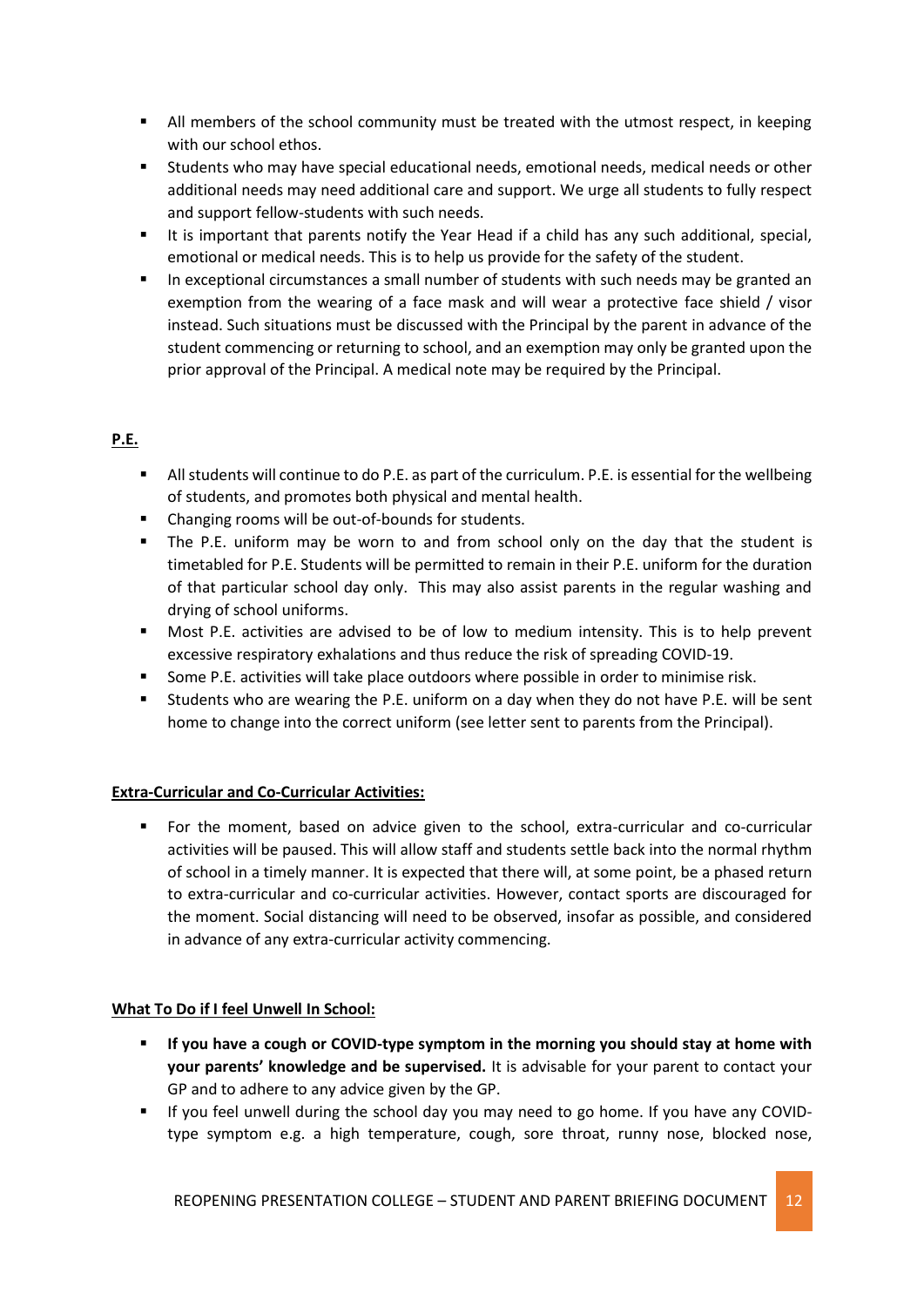- **All members of the school community must be treated with the utmost respect, in keeping** with our school ethos.
- Students who may have special educational needs, emotional needs, medical needs or other additional needs may need additional care and support. We urge all students to fully respect and support fellow-students with such needs.
- It is important that parents notify the Year Head if a child has any such additional, special, emotional or medical needs. This is to help us provide for the safety of the student.
- In exceptional circumstances a small number of students with such needs may be granted an exemption from the wearing of a face mask and will wear a protective face shield / visor instead. Such situations must be discussed with the Principal by the parent in advance of the student commencing or returning to school, and an exemption may only be granted upon the prior approval of the Principal. A medical note may be required by the Principal.

## **P.E.**

- All students will continue to do P.E. as part of the curriculum. P.E. is essential for the wellbeing of students, and promotes both physical and mental health.
- Changing rooms will be out-of-bounds for students.
- The P.E. uniform may be worn to and from school only on the day that the student is timetabled for P.E. Students will be permitted to remain in their P.E. uniform for the duration of that particular school day only. This may also assist parents in the regular washing and drying of school uniforms.
- Most P.E. activities are advised to be of low to medium intensity. This is to help prevent excessive respiratory exhalations and thus reduce the risk of spreading COVID-19.
- Some P.E. activities will take place outdoors where possible in order to minimise risk.
- Students who are wearing the P.E. uniform on a day when they do not have P.E. will be sent home to change into the correct uniform (see letter sent to parents from the Principal).

### **Extra-Curricular and Co-Curricular Activities:**

 For the moment, based on advice given to the school, extra-curricular and co-curricular activities will be paused. This will allow staff and students settle back into the normal rhythm of school in a timely manner. It is expected that there will, at some point, be a phased return to extra-curricular and co-curricular activities. However, contact sports are discouraged for the moment. Social distancing will need to be observed, insofar as possible, and considered in advance of any extra-curricular activity commencing.

### **What To Do if I feel Unwell In School:**

- **If you have a cough or COVID-type symptom in the morning you should stay at home with your parents' knowledge and be supervised.** It is advisable for your parent to contact your GP and to adhere to any advice given by the GP.
- If you feel unwell during the school day you may need to go home. If you have any COVIDtype symptom e.g. a high temperature, cough, sore throat, runny nose, blocked nose,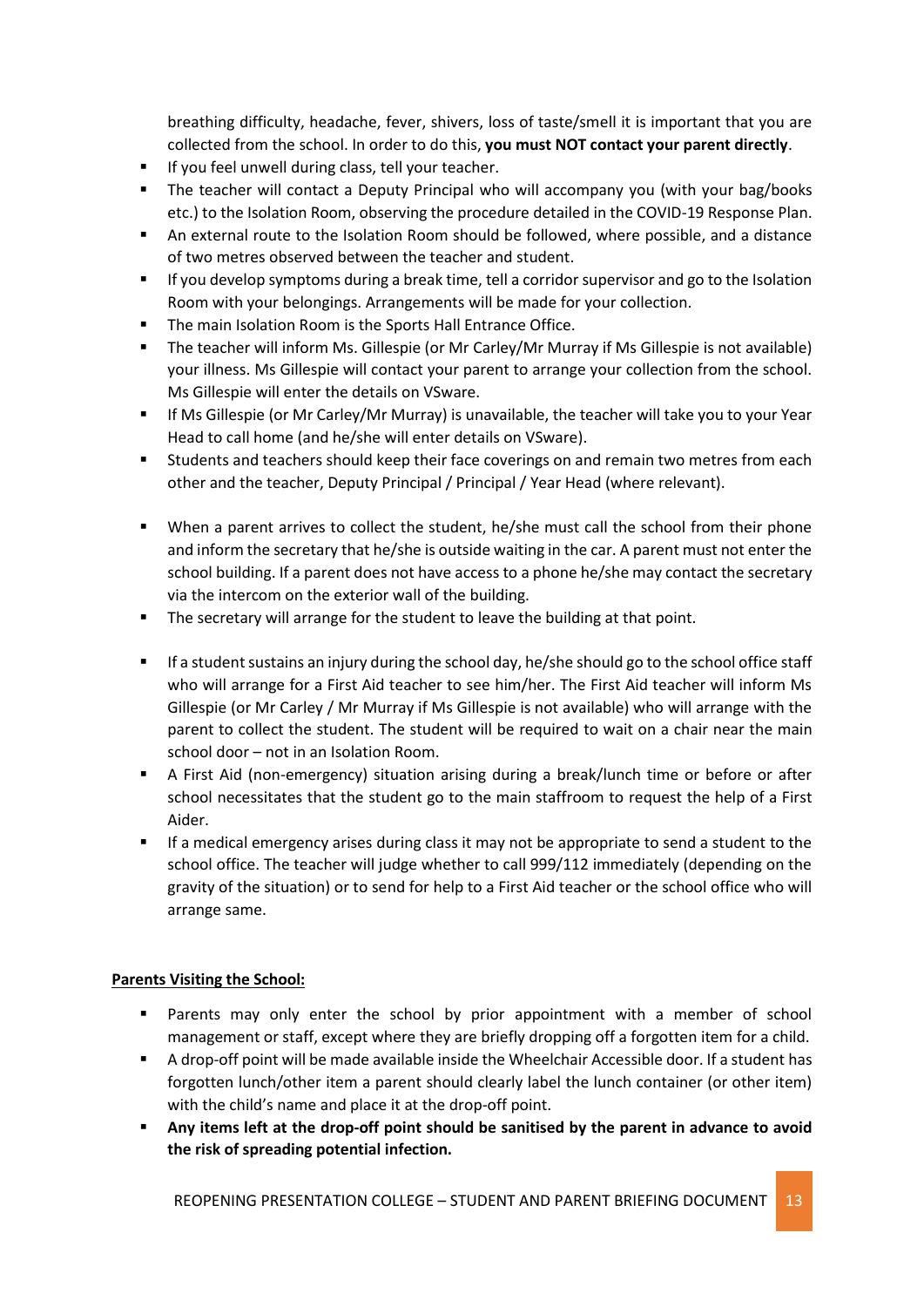breathing difficulty, headache, fever, shivers, loss of taste/smell it is important that you are collected from the school. In order to do this, **you must NOT contact your parent directly**.

- **If you feel unwell during class, tell your teacher.**
- The teacher will contact a Deputy Principal who will accompany you (with your bag/books etc.) to the Isolation Room, observing the procedure detailed in the COVID-19 Response Plan.
- An external route to the Isolation Room should be followed, where possible, and a distance of two metres observed between the teacher and student.
- If you develop symptoms during a break time, tell a corridor supervisor and go to the Isolation Room with your belongings. Arrangements will be made for your collection.
- The main Isolation Room is the Sports Hall Entrance Office.
- The teacher will inform Ms. Gillespie (or Mr Carley/Mr Murray if Ms Gillespie is not available) your illness. Ms Gillespie will contact your parent to arrange your collection from the school. Ms Gillespie will enter the details on VSware.
- If Ms Gillespie (or Mr Carley/Mr Murray) is unavailable, the teacher will take you to your Year Head to call home (and he/she will enter details on VSware).
- Students and teachers should keep their face coverings on and remain two metres from each other and the teacher, Deputy Principal / Principal / Year Head (where relevant).
- When a parent arrives to collect the student, he/she must call the school from their phone and inform the secretary that he/she is outside waiting in the car. A parent must not enter the school building. If a parent does not have access to a phone he/she may contact the secretary via the intercom on the exterior wall of the building.
- The secretary will arrange for the student to leave the building at that point.
- If a student sustains an injury during the school day, he/she should go to the school office staff who will arrange for a First Aid teacher to see him/her. The First Aid teacher will inform Ms Gillespie (or Mr Carley / Mr Murray if Ms Gillespie is not available) who will arrange with the parent to collect the student. The student will be required to wait on a chair near the main school door – not in an Isolation Room.
- A First Aid (non-emergency) situation arising during a break/lunch time or before or after school necessitates that the student go to the main staffroom to request the help of a First Aider.
- If a medical emergency arises during class it may not be appropriate to send a student to the school office. The teacher will judge whether to call 999/112 immediately (depending on the gravity of the situation) or to send for help to a First Aid teacher or the school office who will arrange same.

### **Parents Visiting the School:**

- Parents may only enter the school by prior appointment with a member of school management or staff, except where they are briefly dropping off a forgotten item for a child.
- A drop-off point will be made available inside the Wheelchair Accessible door. If a student has forgotten lunch/other item a parent should clearly label the lunch container (or other item) with the child's name and place it at the drop-off point.
- **Any items left at the drop-off point should be sanitised by the parent in advance to avoid the risk of spreading potential infection.**

REOPENING PRESENTATION COLLEGE – STUDENT AND PARENT BRIEFING DOCUMENT 13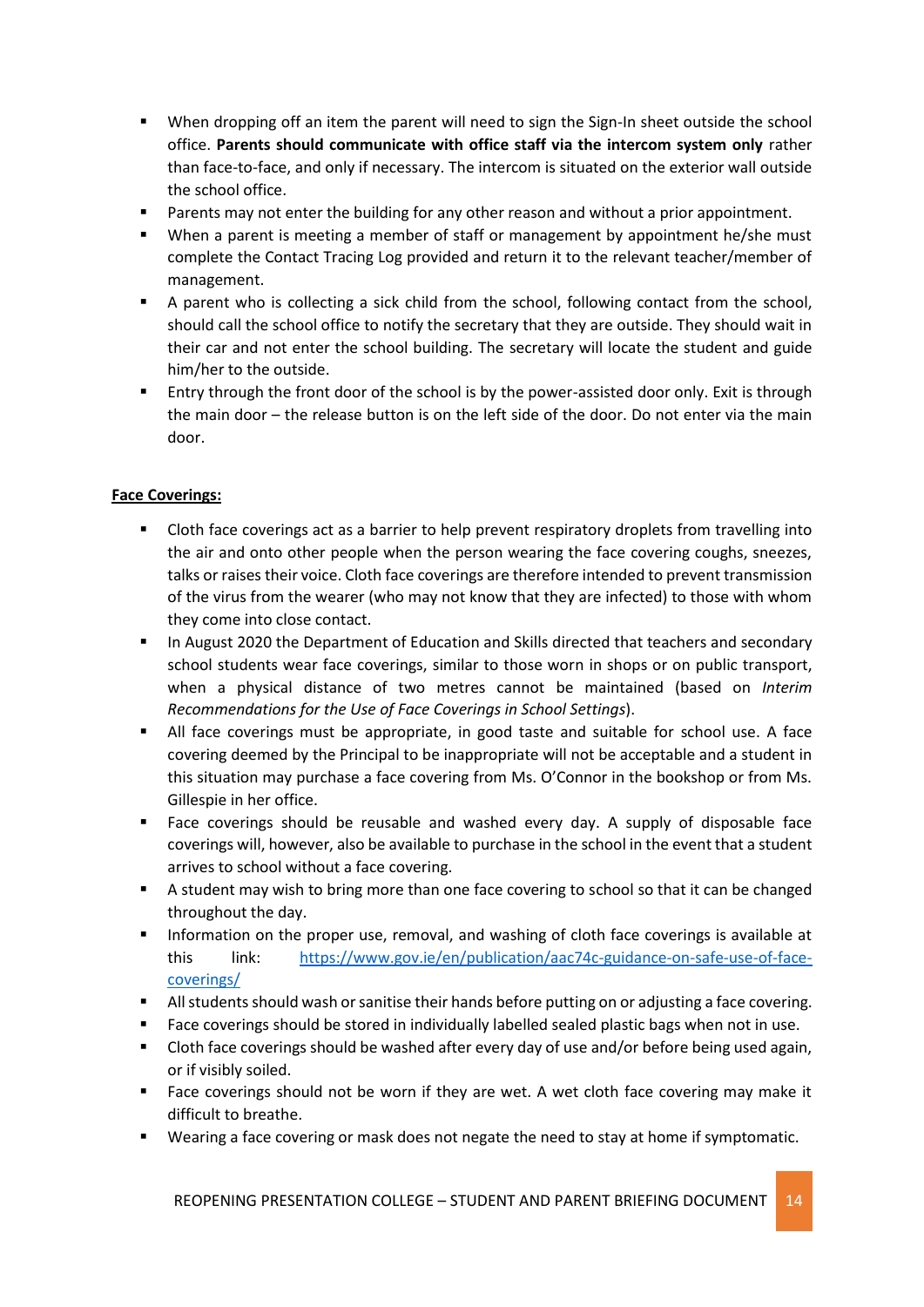- When dropping off an item the parent will need to sign the Sign-In sheet outside the school office. **Parents should communicate with office staff via the intercom system only** rather than face-to-face, and only if necessary. The intercom is situated on the exterior wall outside the school office.
- Parents may not enter the building for any other reason and without a prior appointment.
- When a parent is meeting a member of staff or management by appointment he/she must complete the Contact Tracing Log provided and return it to the relevant teacher/member of management.
- A parent who is collecting a sick child from the school, following contact from the school, should call the school office to notify the secretary that they are outside. They should wait in their car and not enter the school building. The secretary will locate the student and guide him/her to the outside.
- Entry through the front door of the school is by the power-assisted door only. Exit is through the main door – the release button is on the left side of the door. Do not enter via the main door.

#### **Face Coverings:**

- **EXECUTE:** Cloth face coverings act as a barrier to help prevent respiratory droplets from travelling into the air and onto other people when the person wearing the face covering coughs, sneezes, talks or raises their voice. Cloth face coverings are therefore intended to prevent transmission of the virus from the wearer (who may not know that they are infected) to those with whom they come into close contact.
- **In August 2020 the Department of Education and Skills directed that teachers and secondary** school students wear face coverings, similar to those worn in shops or on public transport, when a physical distance of two metres cannot be maintained (based on *Interim Recommendations for the Use of Face Coverings in School Settings*).
- All face coverings must be appropriate, in good taste and suitable for school use. A face covering deemed by the Principal to be inappropriate will not be acceptable and a student in this situation may purchase a face covering from Ms. O'Connor in the bookshop or from Ms. Gillespie in her office.
- **Face coverings should be reusable and washed every day. A supply of disposable face** coverings will, however, also be available to purchase in the school in the event that a student arrives to school without a face covering.
- A student may wish to bring more than one face covering to school so that it can be changed throughout the day.
- Information on the proper use, removal, and washing of cloth face coverings is available at this link: [https://www.gov.ie/en/publication/aac74c-guidance-on-safe-use-of-face](https://www.gov.ie/en/publication/aac74c-guidance-on-safe-use-of-face-coverings/)[coverings/](https://www.gov.ie/en/publication/aac74c-guidance-on-safe-use-of-face-coverings/)
- All students should wash or sanitise their hands before putting on or adjusting a face covering.
- Face coverings should be stored in individually labelled sealed plastic bags when not in use.
- Cloth face coverings should be washed after every day of use and/or before being used again, or if visibly soiled.
- Face coverings should not be worn if they are wet. A wet cloth face covering may make it difficult to breathe.
- Wearing a face covering or mask does not negate the need to stay at home if symptomatic.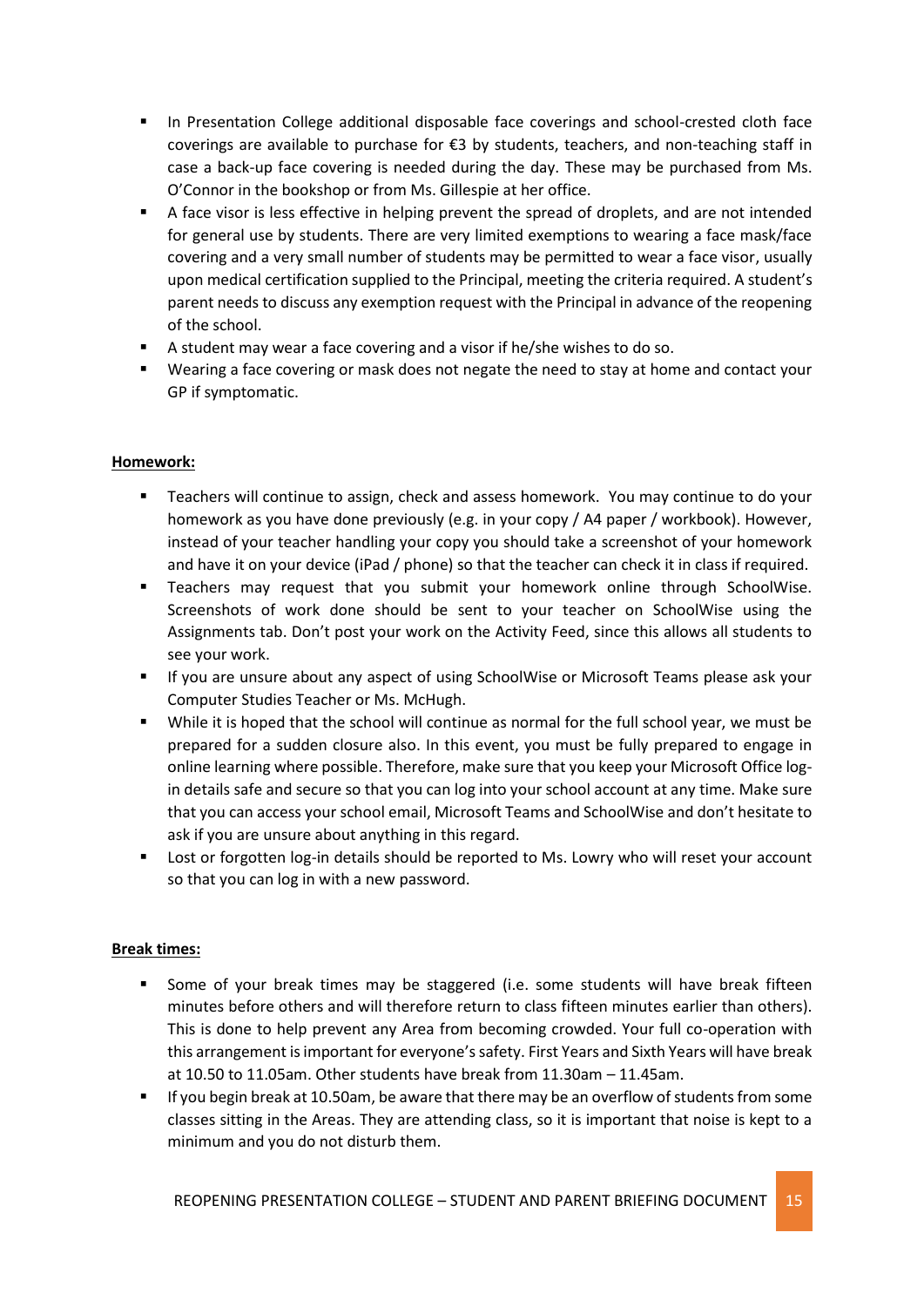- **In Presentation College additional disposable face coverings and school-crested cloth face** coverings are available to purchase for €3 by students, teachers, and non-teaching staff in case a back-up face covering is needed during the day. These may be purchased from Ms. O'Connor in the bookshop or from Ms. Gillespie at her office.
- A face visor is less effective in helping prevent the spread of droplets, and are not intended for general use by students. There are very limited exemptions to wearing a face mask/face covering and a very small number of students may be permitted to wear a face visor, usually upon medical certification supplied to the Principal, meeting the criteria required. A student's parent needs to discuss any exemption request with the Principal in advance of the reopening of the school.
- A student may wear a face covering and a visor if he/she wishes to do so.
- Wearing a face covering or mask does not negate the need to stay at home and contact your GP if symptomatic.

### **Homework:**

- Teachers will continue to assign, check and assess homework. You may continue to do your homework as you have done previously (e.g. in your copy / A4 paper / workbook). However, instead of your teacher handling your copy you should take a screenshot of your homework and have it on your device (iPad / phone) so that the teacher can check it in class if required.
- **Teachers may request that you submit your homework online through SchoolWise.** Screenshots of work done should be sent to your teacher on SchoolWise using the Assignments tab. Don't post your work on the Activity Feed, since this allows all students to see your work.
- **If you are unsure about any aspect of using SchoolWise or Microsoft Teams please ask your** Computer Studies Teacher or Ms. McHugh.
- While it is hoped that the school will continue as normal for the full school year, we must be prepared for a sudden closure also. In this event, you must be fully prepared to engage in online learning where possible. Therefore, make sure that you keep your Microsoft Office login details safe and secure so that you can log into your school account at any time. Make sure that you can access your school email, Microsoft Teams and SchoolWise and don't hesitate to ask if you are unsure about anything in this regard.
- Lost or forgotten log-in details should be reported to Ms. Lowry who will reset your account so that you can log in with a new password.

### **Break times:**

- Some of your break times may be staggered (i.e. some students will have break fifteen minutes before others and will therefore return to class fifteen minutes earlier than others). This is done to help prevent any Area from becoming crowded. Your full co-operation with this arrangement is important for everyone's safety. First Years and Sixth Years will have break at 10.50 to 11.05am. Other students have break from 11.30am – 11.45am.
- If you begin break at 10.50am, be aware that there may be an overflow of students from some classes sitting in the Areas. They are attending class, so it is important that noise is kept to a minimum and you do not disturb them.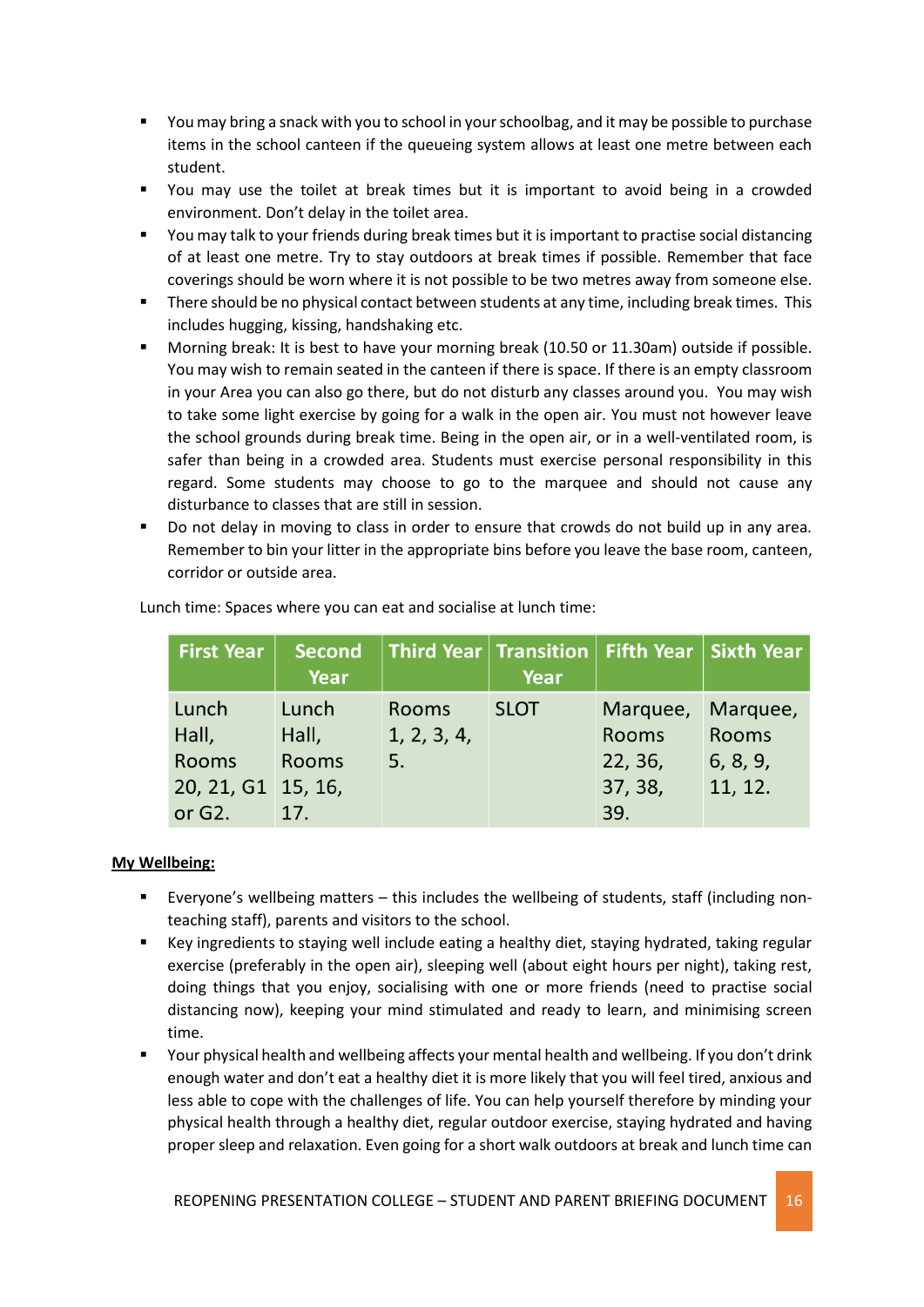- You may bring a snack with you to school in your schoolbag, and it may be possible to purchase items in the school canteen if the queueing system allows at least one metre between each student.
- You may use the toilet at break times but it is important to avoid being in a crowded environment. Don't delay in the toilet area.
- You may talk to your friends during break times but it is important to practise social distancing of at least one metre. Try to stay outdoors at break times if possible. Remember that face coverings should be worn where it is not possible to be two metres away from someone else.
- **There should be no physical contact between students at any time, including break times. This** includes hugging, kissing, handshaking etc.
- Morning break: It is best to have your morning break (10.50 or 11.30am) outside if possible. You may wish to remain seated in the canteen if there is space. If there is an empty classroom in your Area you can also go there, but do not disturb any classes around you. You may wish to take some light exercise by going for a walk in the open air. You must not however leave the school grounds during break time. Being in the open air, or in a well-ventilated room, is safer than being in a crowded area. Students must exercise personal responsibility in this regard. Some students may choose to go to the marquee and should not cause any disturbance to classes that are still in session.
- Do not delay in moving to class in order to ensure that crowds do not build up in any area. Remember to bin your litter in the appropriate bins before you leave the base room, canteen, corridor or outside area.

| <b>First Year</b>  | Second<br>Year |              | $\mid$ Third Year $\mid$ Transition $\mid$ Fifth Year $\mid$ Sixth Year<br>Year |              |              |
|--------------------|----------------|--------------|---------------------------------------------------------------------------------|--------------|--------------|
| Lunch              | Lunch          | <b>Rooms</b> | <b>SLOT</b>                                                                     | Marquee,     | Marquee,     |
| Hall,              | Hall,          | 1, 2, 3, 4,  |                                                                                 | <b>Rooms</b> | <b>Rooms</b> |
| <b>Rooms</b>       | <b>Rooms</b>   | 5.           |                                                                                 | 22, 36,      | 6, 8, 9,     |
| 20, 21, G1 15, 16, |                |              |                                                                                 | 37, 38,      | 11, 12.      |
| or $G2$ .          | 17.            |              |                                                                                 | 39.          |              |

Lunch time: Spaces where you can eat and socialise at lunch time:

#### **My Wellbeing:**

- Everyone's wellbeing matters this includes the wellbeing of students, staff (including nonteaching staff), parents and visitors to the school.
- Key ingredients to staying well include eating a healthy diet, staying hydrated, taking regular exercise (preferably in the open air), sleeping well (about eight hours per night), taking rest, doing things that you enjoy, socialising with one or more friends (need to practise social distancing now), keeping your mind stimulated and ready to learn, and minimising screen time.
- Your physical health and wellbeing affects your mental health and wellbeing. If you don't drink enough water and don't eat a healthy diet it is more likely that you will feel tired, anxious and less able to cope with the challenges of life. You can help yourself therefore by minding your physical health through a healthy diet, regular outdoor exercise, staying hydrated and having proper sleep and relaxation. Even going for a short walk outdoors at break and lunch time can